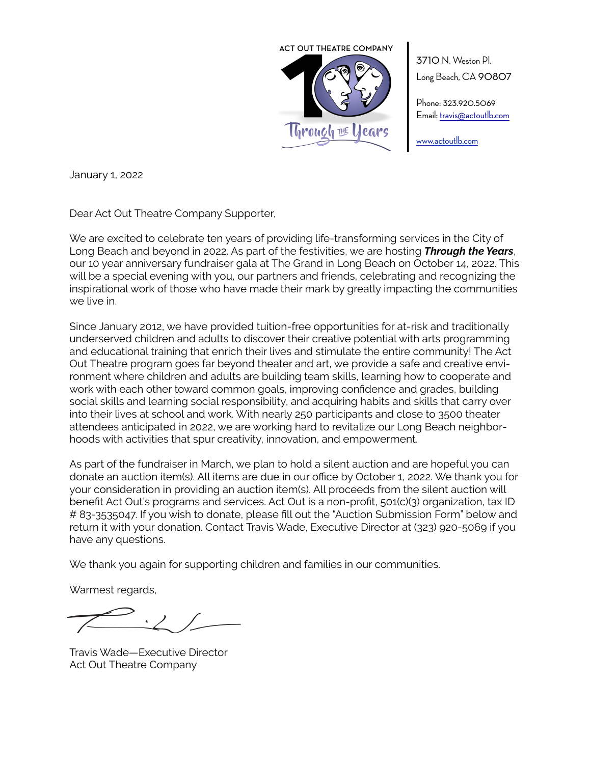

3710 N. Weston Pl. Long Beach, CA 90807

Phone: 323.920.5069 Email: [travis@actoutlb.com](mailto:travis@actoutlb.com)

[www.actoutlb.com](http://www.actoutlb.com)

January 1, 2022

Dear Act Out Theatre Company Supporter,

We are excited to celebrate ten years of providing life-transforming services in the City of Long Beach and beyond in 2022. As part of the festivities, we are hosting *Through the Years*, our 10 year anniversary fundraiser gala at The Grand in Long Beach on October 14, 2022. This will be a special evening with you, our partners and friends, celebrating and recognizing the inspirational work of those who have made their mark by greatly impacting the communities we live in.

Since January 2012, we have provided tuition-free opportunities for at-risk and traditionally underserved children and adults to discover their creative potential with arts programming and educational training that enrich their lives and stimulate the entire community! The Act Out Theatre program goes far beyond theater and art, we provide a safe and creative environment where children and adults are building team skills, learning how to cooperate and work with each other toward common goals, improving confidence and grades, building social skills and learning social responsibility, and acquiring habits and skills that carry over into their lives at school and work. With nearly 250 participants and close to 3500 theater attendees anticipated in 2022, we are working hard to revitalize our Long Beach neighborhoods with activities that spur creativity, innovation, and empowerment.

As part of the fundraiser in March, we plan to hold a silent auction and are hopeful you can donate an auction item(s). All items are due in our office by October 1, 2022. We thank you for your consideration in providing an auction item(s). All proceeds from the silent auction will benefit Act Out's programs and services. Act Out is a non-profit, 501(c)(3) organization, tax ID # 83-3535047. If you wish to donate, please fill out the "Auction Submission Form" below and return it with your donation. Contact Travis Wade, Executive Director at (323) 920-5069 if you have any questions.

We thank you again for supporting children and families in our communities.

Warmest regards,

Travis Wade—Executive Director Act Out Theatre Company